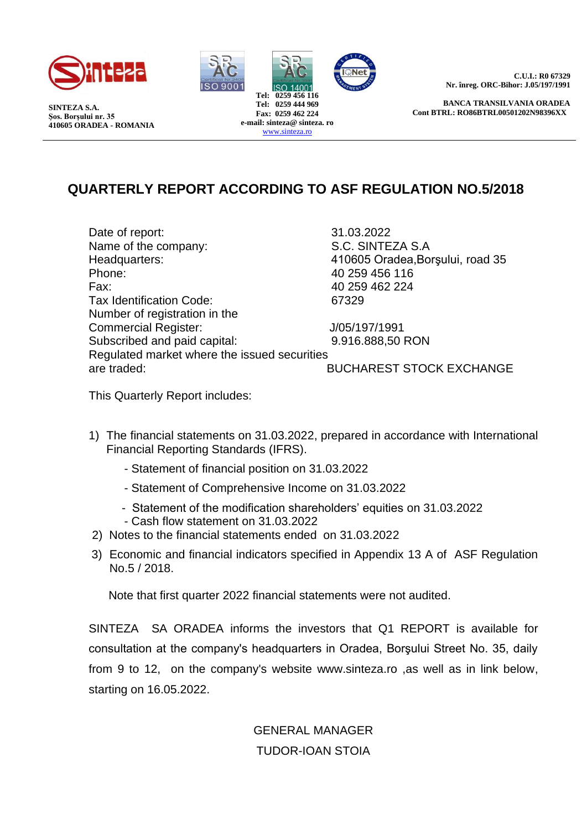

**SINTEZA S.A. Şos. Borşului nr. 35 410605 ORADEA - ROMANIA**



**C.U.I.: R0 67329 Nr. înreg. ORC-Bihor: J.05/197/1991**

**BANCA TRANSILVANIA ORADEA Cont BTRL: RO86BTRL00501202N98396XX**

# **QUARTERLY REPORT ACCORDING TO ASF REGULATION NO.5/2018**

Date of report: 31.03.2022 Name of the company: S.C. SINTEZA S.A Headquarters: 410605 Oradea,Borşului, road 35 Phone: 40 259 456 116 Fax: 40 259 462 224 Tax Identification Code: 67329 Number of registration in the Commercial Register: J/05/197/1991 Subscribed and paid capital: 9.916.888,50 RON Regulated market where the issued securities are traded: BUCHAREST STOCK EXCHANGE

This Quarterly Report includes:

- 1) The financial statements on 31.03.2022, prepared in accordance with International Financial Reporting Standards (IFRS).
	- Statement of financial position on 31.03.2022
	- Statement of Comprehensive Income on 31.03.2022
	- Statement of the modification shareholders' equities on 31.03.2022
	- Cash flow statement on 31.03.2022
- 2) Notes to the financial statements ended on 31.03.2022
- 3) Economic and financial indicators specified in Appendix 13 A of ASF Regulation No.5 / 2018.

Note that first quarter 2022 financial statements were not audited.

SINTEZA SA ORADEA informs the investors that Q1 REPORT is available for consultation at the company's headquarters in Oradea, Borşului Street No. 35, daily from 9 to 12, on the company's website www.sinteza.ro ,as well as in link below, starting on 16.05.2022.

## GENERAL MANAGER TUDOR-IOAN STOIA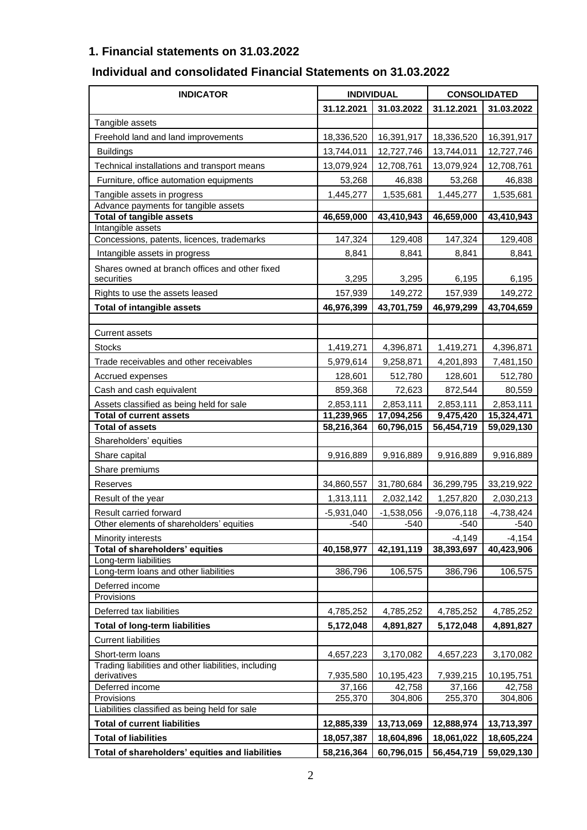## **1. Financial statements on 31.03.2022**

## **Individual and consolidated Financial Statements on 31.03.2022**

| <b>INDICATOR</b>                                                    | <b>INDIVIDUAL</b> |              | <b>CONSOLIDATED</b>    |              |  |  |
|---------------------------------------------------------------------|-------------------|--------------|------------------------|--------------|--|--|
|                                                                     | 31.12.2021        | 31.03.2022   | 31.12.2021             | 31.03.2022   |  |  |
| Tangible assets                                                     |                   |              |                        |              |  |  |
| Freehold land and land improvements                                 | 18,336,520        | 16,391,917   | 18,336,520             | 16,391,917   |  |  |
| <b>Buildings</b>                                                    | 13,744,011        | 12,727,746   | 13,744,011             | 12,727,746   |  |  |
| Technical installations and transport means                         | 13,079,924        | 12,708,761   | 13,079,924             | 12,708,761   |  |  |
| Furniture, office automation equipments                             | 53,268            | 46,838       | 53,268                 | 46,838       |  |  |
| Tangible assets in progress                                         | 1,445,277         | 1,535,681    | 1,445,277              | 1,535,681    |  |  |
| Advance payments for tangible assets                                |                   |              |                        |              |  |  |
| <b>Total of tangible assets</b>                                     | 46,659,000        | 43,410,943   | 46,659,000             | 43,410,943   |  |  |
| Intangible assets<br>Concessions, patents, licences, trademarks     | 147,324           | 129,408      | 147,324                | 129,408      |  |  |
|                                                                     |                   |              |                        |              |  |  |
| Intangible assets in progress                                       | 8,841             | 8,841        | 8,841                  | 8,841        |  |  |
| Shares owned at branch offices and other fixed<br>securities        | 3,295             | 3,295        | 6,195                  | 6,195        |  |  |
| Rights to use the assets leased                                     | 157,939           | 149,272      | 157,939                | 149,272      |  |  |
| <b>Total of intangible assets</b>                                   | 46,976,399        | 43,701,759   | 46,979,299             | 43,704,659   |  |  |
|                                                                     |                   |              |                        |              |  |  |
| <b>Current assets</b>                                               |                   |              |                        |              |  |  |
| <b>Stocks</b>                                                       | 1,419,271         | 4,396,871    | 1,419,271              | 4,396,871    |  |  |
| Trade receivables and other receivables                             | 5,979,614         | 9,258,871    | 4,201,893              | 7,481,150    |  |  |
| Accrued expenses                                                    | 128,601           | 512,780      | 128,601                | 512,780      |  |  |
| Cash and cash equivalent                                            | 859,368           | 72,623       | 872,544                | 80,559       |  |  |
| Assets classified as being held for sale                            | 2,853,111         | 2,853,111    | 2,853,111              | 2,853,111    |  |  |
| <b>Total of current assets</b>                                      | 11,239,965        | 17,094,256   | $\overline{9,}475,420$ | 15,324,471   |  |  |
| <b>Total of assets</b>                                              | 58,216,364        | 60,796,015   | 56,454,719             | 59,029,130   |  |  |
| Shareholders' equities                                              |                   |              |                        |              |  |  |
| Share capital                                                       | 9,916,889         | 9,916,889    | 9,916,889              | 9,916,889    |  |  |
| Share premiums                                                      |                   |              |                        |              |  |  |
| Reserves                                                            | 34,860,557        | 31,780,684   | 36,299,795             | 33,219,922   |  |  |
| Result of the year                                                  | 1,313,111         | 2,032,142    | 1,257,820              | 2,030,213    |  |  |
| Result carried forward                                              | $-5,931,040$      | $-1,538,056$ | $-9,076,118$           | $-4,738,424$ |  |  |
| Other elements of shareholders' equities                            | $-540$            | $-540$       | $-540$                 | $-540$       |  |  |
| Minority interests                                                  |                   |              | $-4,149$               | $-4,154$     |  |  |
| Total of shareholders' equities<br>Long-term liabilities            | 40,158,977        | 42,191,119   | 38,393,697             | 40,423,906   |  |  |
| Long-term loans and other liabilities                               | 386,796           | 106,575      | 386,796                | 106,575      |  |  |
| Deferred income                                                     |                   |              |                        |              |  |  |
| Provisions                                                          |                   |              |                        |              |  |  |
| Deferred tax liabilities                                            | 4,785,252         | 4,785,252    | 4,785,252              | 4,785,252    |  |  |
| <b>Total of long-term liabilities</b>                               | 5,172,048         | 4,891,827    | 5,172,048              | 4,891,827    |  |  |
| <b>Current liabilities</b>                                          |                   |              |                        |              |  |  |
| Short-term loans                                                    | 4,657,223         | 3,170,082    | 4,657,223              | 3,170,082    |  |  |
| Trading liabilities and other liabilities, including<br>derivatives | 7,935,580         | 10,195,423   | 7,939,215              | 10,195,751   |  |  |
| Deferred income                                                     | 37,166            | 42,758       | 37,166                 | 42,758       |  |  |
| Provisions                                                          | 255,370           | 304,806      | 255,370                | 304,806      |  |  |
| Liabilities classified as being held for sale                       |                   |              |                        |              |  |  |
| <b>Total of current liabilities</b>                                 | 12,885,339        | 13,713,069   | 12,888,974             | 13,713,397   |  |  |
| <b>Total of liabilities</b>                                         | 18,057,387        | 18,604,896   | 18,061,022             | 18,605,224   |  |  |
| Total of shareholders' equities and liabilities                     | 58,216,364        | 60,796,015   | 56,454,719             | 59,029,130   |  |  |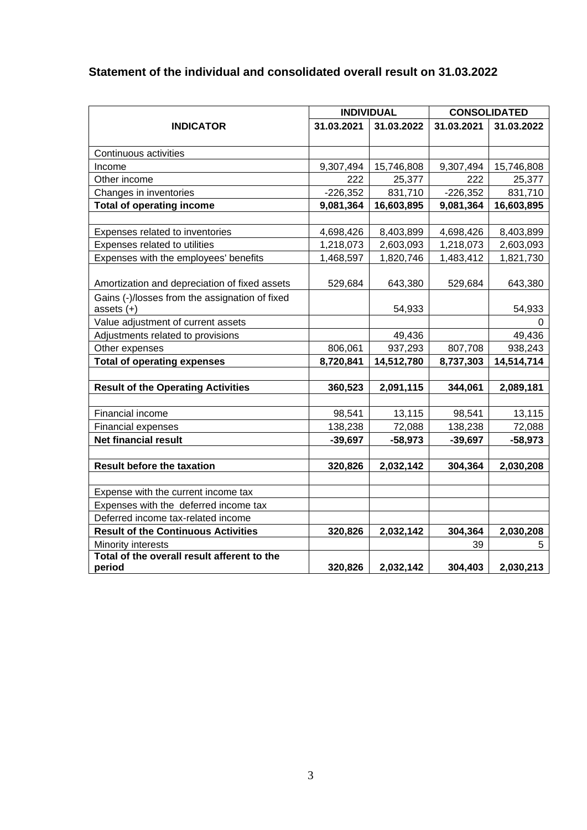## **Statement of the individual and consolidated overall result on 31.03.2022**

|                                                |            | <b>INDIVIDUAL</b> | <b>CONSOLIDATED</b> |            |  |  |
|------------------------------------------------|------------|-------------------|---------------------|------------|--|--|
| <b>INDICATOR</b>                               | 31.03.2021 | 31.03.2022        | 31.03.2021          | 31.03.2022 |  |  |
|                                                |            |                   |                     |            |  |  |
| Continuous activities                          |            |                   |                     |            |  |  |
| Income                                         | 9,307,494  | 15,746,808        | 9,307,494           | 15,746,808 |  |  |
| Other income                                   | 222        | 25,377            | 222                 | 25,377     |  |  |
| Changes in inventories                         | $-226,352$ | 831,710           | $-226,352$          | 831,710    |  |  |
| <b>Total of operating income</b>               | 9,081,364  | 16,603,895        | 9,081,364           | 16,603,895 |  |  |
|                                                |            |                   |                     |            |  |  |
| Expenses related to inventories                | 4,698,426  | 8,403,899         | 4,698,426           | 8,403,899  |  |  |
| Expenses related to utilities                  | 1,218,073  | 2,603,093         | 1,218,073           | 2,603,093  |  |  |
| Expenses with the employees' benefits          | 1,468,597  | 1,820,746         | 1,483,412           | 1,821,730  |  |  |
|                                                |            |                   |                     |            |  |  |
| Amortization and depreciation of fixed assets  | 529,684    | 643,380           | 529,684             | 643,380    |  |  |
| Gains (-)/losses from the assignation of fixed |            |                   |                     |            |  |  |
| assets $(+)$                                   |            | 54,933            |                     | 54,933     |  |  |
| Value adjustment of current assets             |            |                   |                     | 0          |  |  |
| Adjustments related to provisions              |            | 49,436            |                     | 49,436     |  |  |
| Other expenses                                 | 806,061    | 937,293           | 807,708             | 938,243    |  |  |
| <b>Total of operating expenses</b>             | 8,720,841  | 14,512,780        | 8,737,303           | 14,514,714 |  |  |
|                                                |            |                   |                     |            |  |  |
| <b>Result of the Operating Activities</b>      | 360,523    | 2,091,115         | 344,061             | 2,089,181  |  |  |
|                                                |            |                   |                     |            |  |  |
| Financial income                               | 98,541     | 13,115            | 98,541              | 13,115     |  |  |
| Financial expenses                             | 138,238    | 72,088            | 138,238             | 72,088     |  |  |
| <b>Net financial result</b>                    | $-39,697$  | $-58,973$         | $-39,697$           | $-58,973$  |  |  |
|                                                |            |                   |                     |            |  |  |
| <b>Result before the taxation</b>              | 320,826    | 2,032,142         | 304,364             | 2,030,208  |  |  |
| Expense with the current income tax            |            |                   |                     |            |  |  |
| Expenses with the deferred income tax          |            |                   |                     |            |  |  |
| Deferred income tax-related income             |            |                   |                     |            |  |  |
| <b>Result of the Continuous Activities</b>     | 320,826    | 2,032,142         | 304,364             | 2,030,208  |  |  |
| Minority interests                             |            |                   | 39                  | 5          |  |  |
| Total of the overall result afferent to the    |            |                   |                     |            |  |  |
| period                                         | 320,826    | 2,032,142         | 304,403             | 2,030,213  |  |  |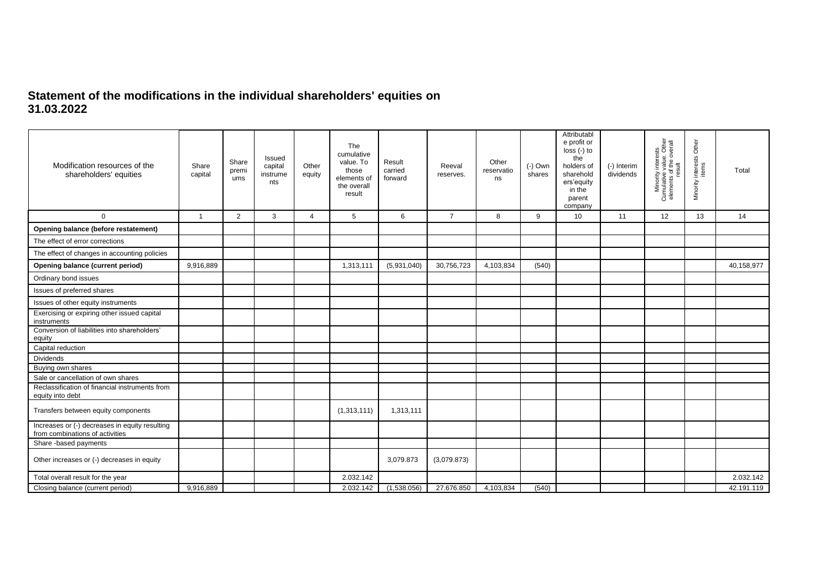### **Statement of the modifications in the individual shareholders' equities on 31.03.2022**

| Modification resources of the<br>shareholders' equities                           | Share<br>capital | Share<br>premi<br>ums | Issued<br>capital<br>instrume<br>nts | Other<br>equity | The<br>cumulative<br>value. To<br>those<br>elements of<br>the overall<br>result | Result<br>carried<br>forward | Reeval<br>reserves. | Other<br>reservatio<br>ns | $(-)$ Own<br>shares | Attributabl<br>e profit or<br>$loss (-) to$<br>the<br>holders of<br>sharehold<br>ers'equity<br>in the<br>parent<br>company | (-) Interim<br>dividends | Minority interests<br>Cumulative value. Other<br>elements of the overall<br>result | Minority interests Other<br>items | Total      |
|-----------------------------------------------------------------------------------|------------------|-----------------------|--------------------------------------|-----------------|---------------------------------------------------------------------------------|------------------------------|---------------------|---------------------------|---------------------|----------------------------------------------------------------------------------------------------------------------------|--------------------------|------------------------------------------------------------------------------------|-----------------------------------|------------|
| $\mathbf 0$                                                                       | $\overline{1}$   | $\overline{2}$        | 3                                    | $\overline{4}$  | 5                                                                               | 6                            | $\overline{7}$      | 8                         | 9                   | 10 <sup>°</sup>                                                                                                            | 11                       | 12                                                                                 | 13                                | 14         |
| Opening balance (before restatement)                                              |                  |                       |                                      |                 |                                                                                 |                              |                     |                           |                     |                                                                                                                            |                          |                                                                                    |                                   |            |
| The effect of error corrections                                                   |                  |                       |                                      |                 |                                                                                 |                              |                     |                           |                     |                                                                                                                            |                          |                                                                                    |                                   |            |
| The effect of changes in accounting policies                                      |                  |                       |                                      |                 |                                                                                 |                              |                     |                           |                     |                                                                                                                            |                          |                                                                                    |                                   |            |
| Opening balance (current period)                                                  | 9,916,889        |                       |                                      |                 | 1,313,111                                                                       | (5,931,040)                  | 30,756,723          | 4,103,834                 | (540)               |                                                                                                                            |                          |                                                                                    |                                   | 40,158,977 |
| Ordinary bond issues                                                              |                  |                       |                                      |                 |                                                                                 |                              |                     |                           |                     |                                                                                                                            |                          |                                                                                    |                                   |            |
| Issues of preferred shares                                                        |                  |                       |                                      |                 |                                                                                 |                              |                     |                           |                     |                                                                                                                            |                          |                                                                                    |                                   |            |
| Issues of other equity instruments                                                |                  |                       |                                      |                 |                                                                                 |                              |                     |                           |                     |                                                                                                                            |                          |                                                                                    |                                   |            |
| Exercising or expiring other issued capital<br>instruments                        |                  |                       |                                      |                 |                                                                                 |                              |                     |                           |                     |                                                                                                                            |                          |                                                                                    |                                   |            |
| Conversion of liabilities into shareholders'<br>equity                            |                  |                       |                                      |                 |                                                                                 |                              |                     |                           |                     |                                                                                                                            |                          |                                                                                    |                                   |            |
| Capital reduction                                                                 |                  |                       |                                      |                 |                                                                                 |                              |                     |                           |                     |                                                                                                                            |                          |                                                                                    |                                   |            |
| <b>Dividends</b>                                                                  |                  |                       |                                      |                 |                                                                                 |                              |                     |                           |                     |                                                                                                                            |                          |                                                                                    |                                   |            |
| Buying own shares                                                                 |                  |                       |                                      |                 |                                                                                 |                              |                     |                           |                     |                                                                                                                            |                          |                                                                                    |                                   |            |
| Sale or cancellation of own shares                                                |                  |                       |                                      |                 |                                                                                 |                              |                     |                           |                     |                                                                                                                            |                          |                                                                                    |                                   |            |
| Reclassification of financial instruments from<br>equity into debt                |                  |                       |                                      |                 |                                                                                 |                              |                     |                           |                     |                                                                                                                            |                          |                                                                                    |                                   |            |
| Transfers between equity components                                               |                  |                       |                                      |                 | (1,313,111)                                                                     | 1,313,111                    |                     |                           |                     |                                                                                                                            |                          |                                                                                    |                                   |            |
| Increases or (-) decreases in equity resulting<br>from combinations of activities |                  |                       |                                      |                 |                                                                                 |                              |                     |                           |                     |                                                                                                                            |                          |                                                                                    |                                   |            |
| Share -based payments                                                             |                  |                       |                                      |                 |                                                                                 |                              |                     |                           |                     |                                                                                                                            |                          |                                                                                    |                                   |            |
| Other increases or (-) decreases in equity                                        |                  |                       |                                      |                 |                                                                                 | 3,079.873                    | (3,079.873)         |                           |                     |                                                                                                                            |                          |                                                                                    |                                   |            |
| Total overall result for the year                                                 |                  |                       |                                      |                 | 2.032.142                                                                       |                              |                     |                           |                     |                                                                                                                            |                          |                                                                                    |                                   | 2.032.142  |
| Closing balance (current period)                                                  | 9.916.889        |                       |                                      |                 | 2.032.142                                                                       | (1,538.056)                  | 27.676.850          | 4.103.834                 | (540)               |                                                                                                                            |                          |                                                                                    |                                   | 42.191.119 |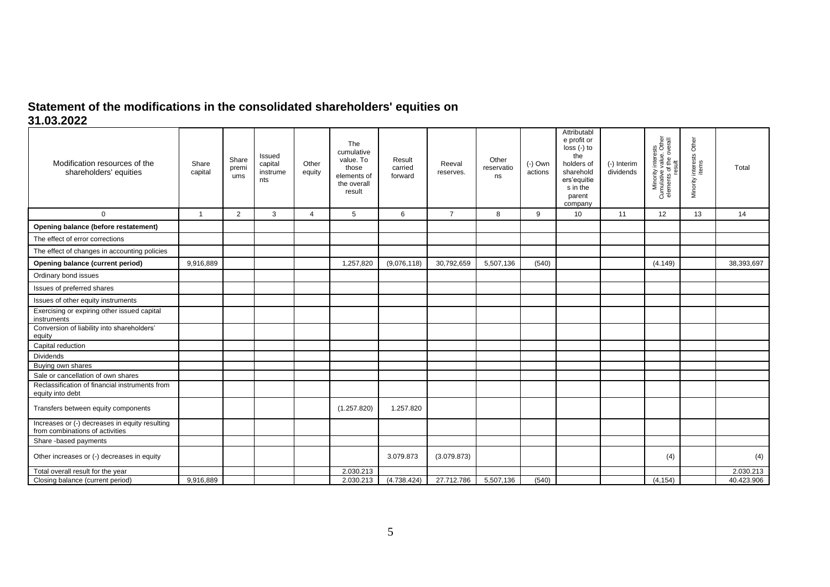## **Statement of the modifications in the consolidated shareholders' equities on 31.03.2022**

| Modification resources of the<br>shareholders' equities                           | Share<br>capital | Share<br>premi<br>ums | Issued<br>capital<br>instrume<br>nts | Other<br>equity | The<br>cumulative<br>value. To<br>those<br>elements of<br>the overall<br>result | Result<br>carried<br>forward | Reeval<br>reserves. | Other<br>reservatio<br>ns | $(-)$ Own<br>actions | Attributabl<br>e profit or<br>$loss (-) to$<br>the<br>holders of<br>sharehold<br>ers'equitie<br>s in the<br>parent<br>company | (-) Interim<br>dividends | Minority interests<br>Cumulative value. Other<br>elements of the overall | Minority interests Other<br>items | Total      |
|-----------------------------------------------------------------------------------|------------------|-----------------------|--------------------------------------|-----------------|---------------------------------------------------------------------------------|------------------------------|---------------------|---------------------------|----------------------|-------------------------------------------------------------------------------------------------------------------------------|--------------------------|--------------------------------------------------------------------------|-----------------------------------|------------|
| $\mathbf 0$                                                                       | $\overline{1}$   | $\overline{2}$        | 3                                    | $\overline{4}$  | 5                                                                               | 6                            | $\overline{7}$      | 8                         | 9                    | 10                                                                                                                            | 11                       | 12                                                                       | 13                                | 14         |
| Opening balance (before restatement)                                              |                  |                       |                                      |                 |                                                                                 |                              |                     |                           |                      |                                                                                                                               |                          |                                                                          |                                   |            |
| The effect of error corrections                                                   |                  |                       |                                      |                 |                                                                                 |                              |                     |                           |                      |                                                                                                                               |                          |                                                                          |                                   |            |
| The effect of changes in accounting policies                                      |                  |                       |                                      |                 |                                                                                 |                              |                     |                           |                      |                                                                                                                               |                          |                                                                          |                                   |            |
| Opening balance (current period)                                                  | 9,916,889        |                       |                                      |                 | 1,257,820                                                                       | (9,076,118)                  | 30,792,659          | 5,507,136                 | (540)                |                                                                                                                               |                          | (4.149)                                                                  |                                   | 38,393,697 |
| Ordinary bond issues                                                              |                  |                       |                                      |                 |                                                                                 |                              |                     |                           |                      |                                                                                                                               |                          |                                                                          |                                   |            |
| Issues of preferred shares                                                        |                  |                       |                                      |                 |                                                                                 |                              |                     |                           |                      |                                                                                                                               |                          |                                                                          |                                   |            |
| Issues of other equity instruments                                                |                  |                       |                                      |                 |                                                                                 |                              |                     |                           |                      |                                                                                                                               |                          |                                                                          |                                   |            |
| Exercising or expiring other issued capital<br>instruments                        |                  |                       |                                      |                 |                                                                                 |                              |                     |                           |                      |                                                                                                                               |                          |                                                                          |                                   |            |
| Conversion of liability into shareholders'<br>equity                              |                  |                       |                                      |                 |                                                                                 |                              |                     |                           |                      |                                                                                                                               |                          |                                                                          |                                   |            |
| Capital reduction                                                                 |                  |                       |                                      |                 |                                                                                 |                              |                     |                           |                      |                                                                                                                               |                          |                                                                          |                                   |            |
| <b>Dividends</b>                                                                  |                  |                       |                                      |                 |                                                                                 |                              |                     |                           |                      |                                                                                                                               |                          |                                                                          |                                   |            |
| Buying own shares                                                                 |                  |                       |                                      |                 |                                                                                 |                              |                     |                           |                      |                                                                                                                               |                          |                                                                          |                                   |            |
| Sale or cancellation of own shares                                                |                  |                       |                                      |                 |                                                                                 |                              |                     |                           |                      |                                                                                                                               |                          |                                                                          |                                   |            |
| Reclassification of financial instruments from<br>equity into debt                |                  |                       |                                      |                 |                                                                                 |                              |                     |                           |                      |                                                                                                                               |                          |                                                                          |                                   |            |
| Transfers between equity components                                               |                  |                       |                                      |                 | (1.257.820)                                                                     | 1.257.820                    |                     |                           |                      |                                                                                                                               |                          |                                                                          |                                   |            |
| Increases or (-) decreases in equity resulting<br>from combinations of activities |                  |                       |                                      |                 |                                                                                 |                              |                     |                           |                      |                                                                                                                               |                          |                                                                          |                                   |            |
| Share -based payments                                                             |                  |                       |                                      |                 |                                                                                 |                              |                     |                           |                      |                                                                                                                               |                          |                                                                          |                                   |            |
| Other increases or (-) decreases in equity                                        |                  |                       |                                      |                 |                                                                                 | 3.079.873                    | (3.079.873)         |                           |                      |                                                                                                                               |                          | (4)                                                                      |                                   | (4)        |
| Total overall result for the year                                                 |                  |                       |                                      |                 | 2.030.213                                                                       |                              |                     |                           |                      |                                                                                                                               |                          |                                                                          |                                   | 2.030.213  |
| Closing balance (current period)                                                  | 9,916,889        |                       |                                      |                 | 2.030.213                                                                       | (4.738.424)                  | 27.712.786          | 5,507,136                 | (540)                |                                                                                                                               |                          | (4, 154)                                                                 |                                   | 40.423.906 |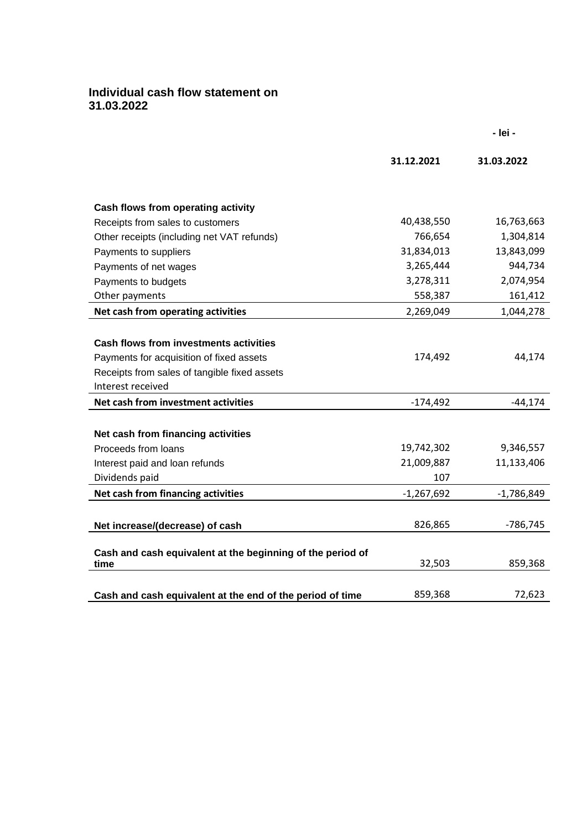## **Individual cash flow statement on 31.03.2022**

|                                                                    | 31.12.2021   | 31.03.2022   |
|--------------------------------------------------------------------|--------------|--------------|
|                                                                    |              |              |
| Cash flows from operating activity                                 |              |              |
| Receipts from sales to customers                                   | 40,438,550   | 16,763,663   |
| Other receipts (including net VAT refunds)                         | 766,654      | 1,304,814    |
| Payments to suppliers                                              | 31,834,013   | 13,843,099   |
| Payments of net wages                                              | 3,265,444    | 944,734      |
| Payments to budgets                                                | 3,278,311    | 2,074,954    |
| Other payments                                                     | 558,387      | 161,412      |
| Net cash from operating activities                                 | 2,269,049    | 1,044,278    |
|                                                                    |              |              |
| <b>Cash flows from investments activities</b>                      |              |              |
| Payments for acquisition of fixed assets                           | 174,492      | 44,174       |
| Receipts from sales of tangible fixed assets                       |              |              |
| Interest received                                                  |              |              |
| Net cash from investment activities                                | $-174,492$   | $-44,174$    |
|                                                                    |              |              |
| Net cash from financing activities                                 |              |              |
| Proceeds from loans                                                | 19,742,302   | 9,346,557    |
| Interest paid and loan refunds                                     | 21,009,887   | 11,133,406   |
| Dividends paid                                                     | 107          |              |
| Net cash from financing activities                                 | $-1,267,692$ | $-1,786,849$ |
|                                                                    |              |              |
| Net increase/(decrease) of cash                                    | 826,865      | $-786,745$   |
|                                                                    |              |              |
| Cash and cash equivalent at the beginning of the period of<br>time | 32,503       | 859,368      |
|                                                                    |              |              |
| Cash and cash equivalent at the end of the period of time          | 859,368      | 72,623       |

**- lei -**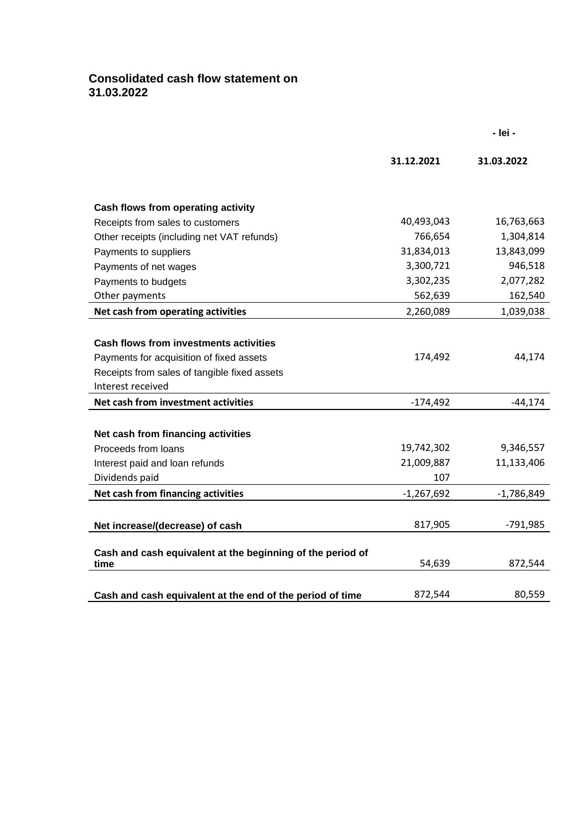## **Consolidated cash flow statement on 31.03.2022**

|                                                                    | 31.12.2021   | 31.03.2022   |
|--------------------------------------------------------------------|--------------|--------------|
|                                                                    |              |              |
| Cash flows from operating activity                                 |              |              |
| Receipts from sales to customers                                   | 40,493,043   | 16,763,663   |
| Other receipts (including net VAT refunds)                         | 766,654      | 1,304,814    |
| Payments to suppliers                                              | 31,834,013   | 13,843,099   |
| Payments of net wages                                              | 3,300,721    | 946,518      |
| Payments to budgets                                                | 3,302,235    | 2,077,282    |
| Other payments                                                     | 562,639      | 162,540      |
| Net cash from operating activities                                 | 2,260,089    | 1,039,038    |
|                                                                    |              |              |
| <b>Cash flows from investments activities</b>                      |              |              |
| Payments for acquisition of fixed assets                           | 174,492      | 44,174       |
| Receipts from sales of tangible fixed assets                       |              |              |
| Interest received                                                  |              |              |
| Net cash from investment activities                                | $-174,492$   | $-44,174$    |
|                                                                    |              |              |
| Net cash from financing activities                                 |              |              |
| Proceeds from loans                                                | 19,742,302   | 9,346,557    |
| Interest paid and loan refunds                                     | 21,009,887   | 11,133,406   |
| Dividends paid                                                     | 107          |              |
| Net cash from financing activities                                 | $-1,267,692$ | $-1,786,849$ |
|                                                                    |              |              |
| Net increase/(decrease) of cash                                    | 817,905      | $-791,985$   |
|                                                                    |              |              |
| Cash and cash equivalent at the beginning of the period of<br>time | 54,639       | 872,544      |
|                                                                    |              |              |
| Cash and cash equivalent at the end of the period of time          | 872,544      | 80,559       |

**- lei -**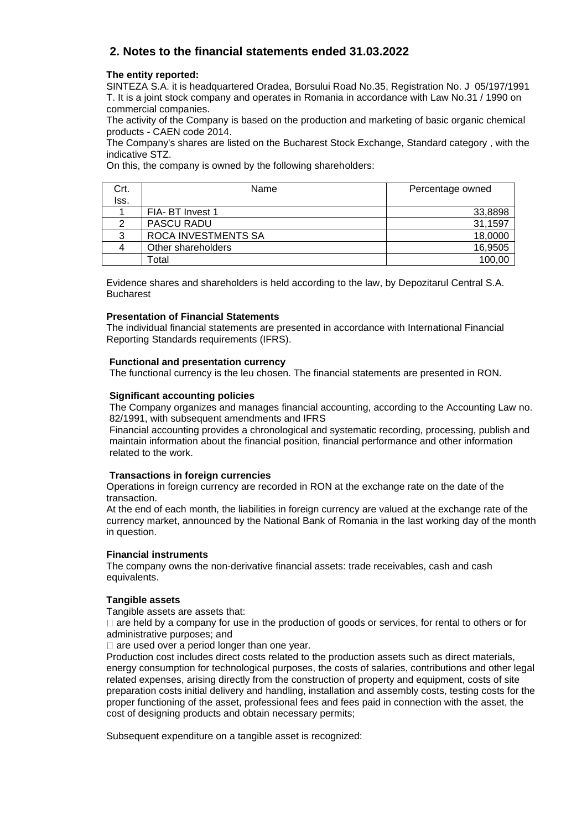## **2. Notes to the financial statements ended 31.03.2022**

#### **The entity reported:**

SINTEZA S.A. it is headquartered Oradea, Borsului Road No.35, Registration No. J 05/197/1991 T. It is a joint stock company and operates in Romania in accordance with Law No.31 / 1990 on commercial companies.

The activity of the Company is based on the production and marketing of basic organic chemical products - CAEN code 2014.

The Company's shares are listed on the Bucharest Stock Exchange, Standard category , with the indicative STZ.

On this, the company is owned by the following shareholders:

| Crt. | Name                | Percentage owned |
|------|---------------------|------------------|
| Iss. |                     |                  |
|      | FIA- BT Invest 1    | 33,8898          |
|      | <b>PASCU RADU</b>   | 31,1597          |
|      | ROCA INVESTMENTS SA | 18,0000          |
|      | Other shareholders  | 16,9505          |
|      | Гоtal               | 100,00           |

Evidence shares and shareholders is held according to the law, by Depozitarul Central S.A. Bucharest

#### **Presentation of Financial Statements**

The individual financial statements are presented in accordance with International Financial Reporting Standards requirements (IFRS).

#### **Functional and presentation currency**

The functional currency is the leu chosen. The financial statements are presented in RON.

#### **Significant accounting policies**

The Company organizes and manages financial accounting, according to the Accounting Law no. 82/1991, with subsequent amendments and IFRS

Financial accounting provides a chronological and systematic recording, processing, publish and maintain information about the financial position, financial performance and other information related to the work.

#### **Transactions in foreign currencies**

Operations in foreign currency are recorded in RON at the exchange rate on the date of the transaction.

At the end of each month, the liabilities in foreign currency are valued at the exchange rate of the currency market, announced by the National Bank of Romania in the last working day of the month in question.

#### **Financial instruments**

The company owns the non-derivative financial assets: trade receivables, cash and cash equivalents.

#### **Tangible assets**

Tangible assets are assets that:

 $\Box$  are held by a company for use in the production of goods or services, for rental to others or for administrative purposes; and

 $\Box$  are used over a period longer than one year.

Production cost includes direct costs related to the production assets such as direct materials, energy consumption for technological purposes, the costs of salaries, contributions and other legal related expenses, arising directly from the construction of property and equipment, costs of site preparation costs initial delivery and handling, installation and assembly costs, testing costs for the proper functioning of the asset, professional fees and fees paid in connection with the asset, the cost of designing products and obtain necessary permits;

Subsequent expenditure on a tangible asset is recognized: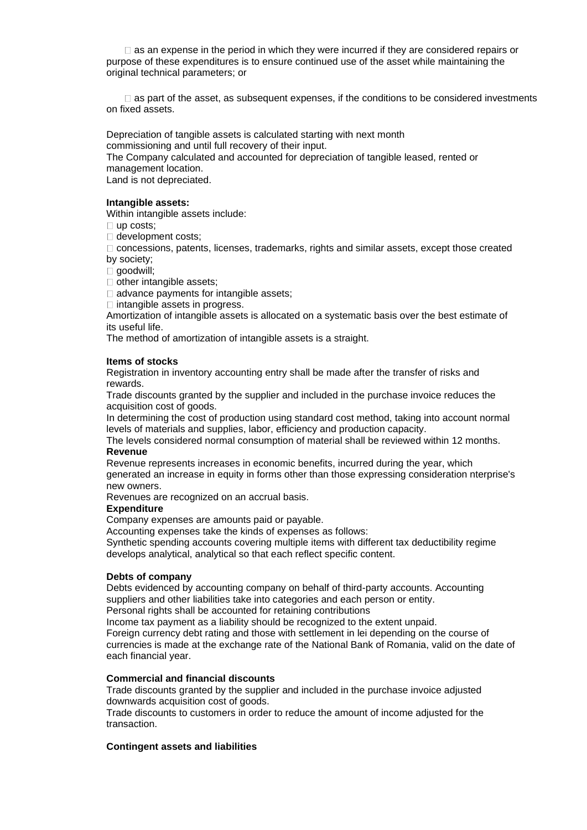$\Box$  as an expense in the period in which they were incurred if they are considered repairs or purpose of these expenditures is to ensure continued use of the asset while maintaining the original technical parameters; or

 $\Box$  as part of the asset, as subsequent expenses, if the conditions to be considered investments on fixed assets.

Depreciation of tangible assets is calculated starting with next month commissioning and until full recovery of their input. The Company calculated and accounted for depreciation of tangible leased, rented or management location. Land is not depreciated.

#### **Intangible assets:**

Within intangible assets include:

□ up costs;

□ development costs;

concessions, patents, licenses, trademarks, rights and similar assets, except those created by society;

goodwill;

 $\Box$  other intangible assets;

 $\Box$  advance payments for intangible assets:

 $\Box$  intangible assets in progress.

Amortization of intangible assets is allocated on a systematic basis over the best estimate of its useful life.

The method of amortization of intangible assets is a straight.

#### **Items of stocks**

Registration in inventory accounting entry shall be made after the transfer of risks and rewards.

Trade discounts granted by the supplier and included in the purchase invoice reduces the acquisition cost of goods.

In determining the cost of production using standard cost method, taking into account normal levels of materials and supplies, labor, efficiency and production capacity.

The levels considered normal consumption of material shall be reviewed within 12 months. **Revenue**

Revenue represents increases in economic benefits, incurred during the year, which generated an increase in equity in forms other than those expressing consideration nterprise's new owners.

Revenues are recognized on an accrual basis.

#### **Expenditure**

Company expenses are amounts paid or payable.

Accounting expenses take the kinds of expenses as follows:

Synthetic spending accounts covering multiple items with different tax deductibility regime develops analytical, analytical so that each reflect specific content.

#### **Debts of company**

Debts evidenced by accounting company on behalf of third-party accounts. Accounting suppliers and other liabilities take into categories and each person or entity.

Personal rights shall be accounted for retaining contributions

Income tax payment as a liability should be recognized to the extent unpaid.

Foreign currency debt rating and those with settlement in lei depending on the course of currencies is made at the exchange rate of the National Bank of Romania, valid on the date of each financial year.

#### **Commercial and financial discounts**

Trade discounts granted by the supplier and included in the purchase invoice adjusted downwards acquisition cost of goods.

Trade discounts to customers in order to reduce the amount of income adjusted for the transaction.

#### **Contingent assets and liabilities**